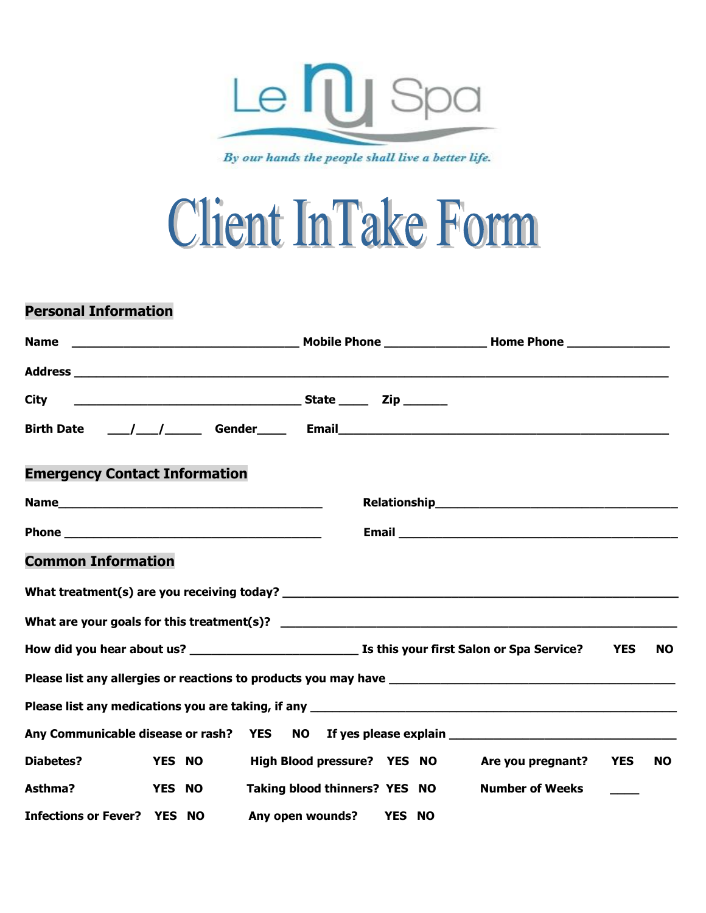

By our hands the people shall live a better life.

## **Client InTake Form**

## **Personal Information**

| <b>Name</b>                                                                                                                                                                                                                    |                                               |                                                                                                                                                                                                                                  |            |           |
|--------------------------------------------------------------------------------------------------------------------------------------------------------------------------------------------------------------------------------|-----------------------------------------------|----------------------------------------------------------------------------------------------------------------------------------------------------------------------------------------------------------------------------------|------------|-----------|
|                                                                                                                                                                                                                                |                                               |                                                                                                                                                                                                                                  |            |           |
| <b>City</b>                                                                                                                                                                                                                    |                                               |                                                                                                                                                                                                                                  |            |           |
|                                                                                                                                                                                                                                |                                               |                                                                                                                                                                                                                                  |            |           |
| <b>Emergency Contact Information</b>                                                                                                                                                                                           |                                               |                                                                                                                                                                                                                                  |            |           |
|                                                                                                                                                                                                                                |                                               | Relationship<br>The Management of the Management of the Management of the Management of the Management of the Management of the Management of the Management of the Management of the Management of the Management of the Manage |            |           |
|                                                                                                                                                                                                                                |                                               |                                                                                                                                                                                                                                  |            |           |
| <b>Common Information</b>                                                                                                                                                                                                      |                                               |                                                                                                                                                                                                                                  |            |           |
| What treatment(s) are you receiving today? Notified and the control of the control of the control of the control of the control of the control of the control of the control of the control of the control of the control of t |                                               |                                                                                                                                                                                                                                  |            |           |
|                                                                                                                                                                                                                                |                                               |                                                                                                                                                                                                                                  |            |           |
|                                                                                                                                                                                                                                |                                               |                                                                                                                                                                                                                                  | <b>YES</b> | <b>NO</b> |
|                                                                                                                                                                                                                                |                                               |                                                                                                                                                                                                                                  |            |           |
| Please list any medications you are taking, if any <b>construct of the construct of the construct</b> of the construct                                                                                                         |                                               |                                                                                                                                                                                                                                  |            |           |
| Any Communicable disease or rash? YES NO If yes please explain example to the control of the state of the state                                                                                                                |                                               |                                                                                                                                                                                                                                  |            |           |
| <b>Diabetes?</b><br><b>YES NO</b>                                                                                                                                                                                              | High Blood pressure? YES NO Are you pregnant? |                                                                                                                                                                                                                                  | <b>YES</b> | <b>NO</b> |
| Asthma?<br><b>YES NO</b>                                                                                                                                                                                                       | Taking blood thinners? YES NO                 | <b>Number of Weeks</b>                                                                                                                                                                                                           |            |           |
| <b>Infections or Fever? YES NO</b>                                                                                                                                                                                             | Any open wounds? YES NO                       |                                                                                                                                                                                                                                  |            |           |